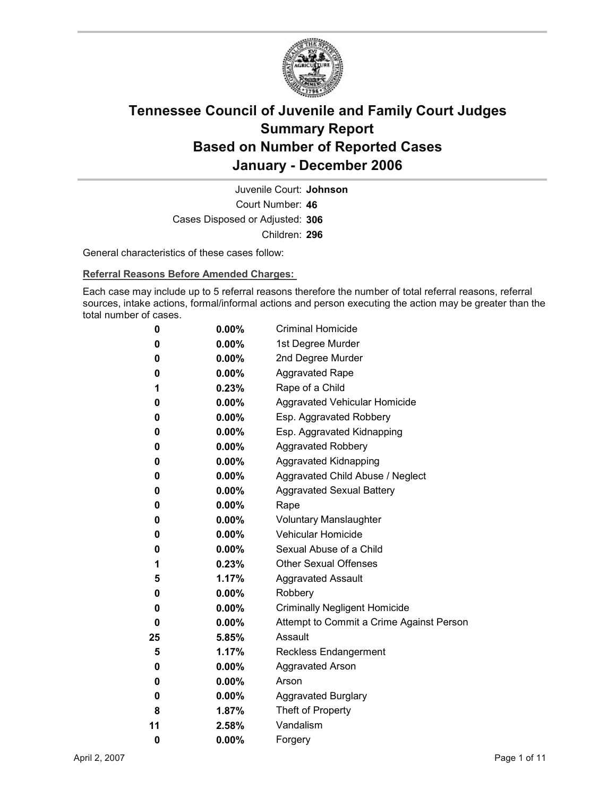

Court Number: **46** Juvenile Court: **Johnson** Cases Disposed or Adjusted: **306** Children: **296**

General characteristics of these cases follow:

**Referral Reasons Before Amended Charges:** 

Each case may include up to 5 referral reasons therefore the number of total referral reasons, referral sources, intake actions, formal/informal actions and person executing the action may be greater than the total number of cases.

| 0  | $0.00\%$ | <b>Criminal Homicide</b>                 |
|----|----------|------------------------------------------|
| 0  | $0.00\%$ | 1st Degree Murder                        |
| 0  | $0.00\%$ | 2nd Degree Murder                        |
| 0  | $0.00\%$ | <b>Aggravated Rape</b>                   |
| 1  | $0.23\%$ | Rape of a Child                          |
| 0  | $0.00\%$ | Aggravated Vehicular Homicide            |
| 0  | $0.00\%$ | Esp. Aggravated Robbery                  |
| 0  | $0.00\%$ | Esp. Aggravated Kidnapping               |
| 0  | $0.00\%$ | <b>Aggravated Robbery</b>                |
| 0  | $0.00\%$ | <b>Aggravated Kidnapping</b>             |
| 0  | $0.00\%$ | Aggravated Child Abuse / Neglect         |
| 0  | $0.00\%$ | <b>Aggravated Sexual Battery</b>         |
| 0  | $0.00\%$ | Rape                                     |
| 0  | $0.00\%$ | <b>Voluntary Manslaughter</b>            |
| 0  | $0.00\%$ | <b>Vehicular Homicide</b>                |
| 0  | $0.00\%$ | Sexual Abuse of a Child                  |
| 1  | $0.23\%$ | <b>Other Sexual Offenses</b>             |
| 5  | 1.17%    | <b>Aggravated Assault</b>                |
| 0  | $0.00\%$ | Robbery                                  |
| 0  | $0.00\%$ | <b>Criminally Negligent Homicide</b>     |
| 0  | $0.00\%$ | Attempt to Commit a Crime Against Person |
| 25 | 5.85%    | Assault                                  |
| 5  | 1.17%    | <b>Reckless Endangerment</b>             |
| 0  | $0.00\%$ | <b>Aggravated Arson</b>                  |
| 0  | $0.00\%$ | Arson                                    |
| 0  | $0.00\%$ | <b>Aggravated Burglary</b>               |
| 8  | $1.87\%$ | Theft of Property                        |
| 11 | $2.58\%$ | Vandalism                                |
| 0  | 0.00%    | Forgery                                  |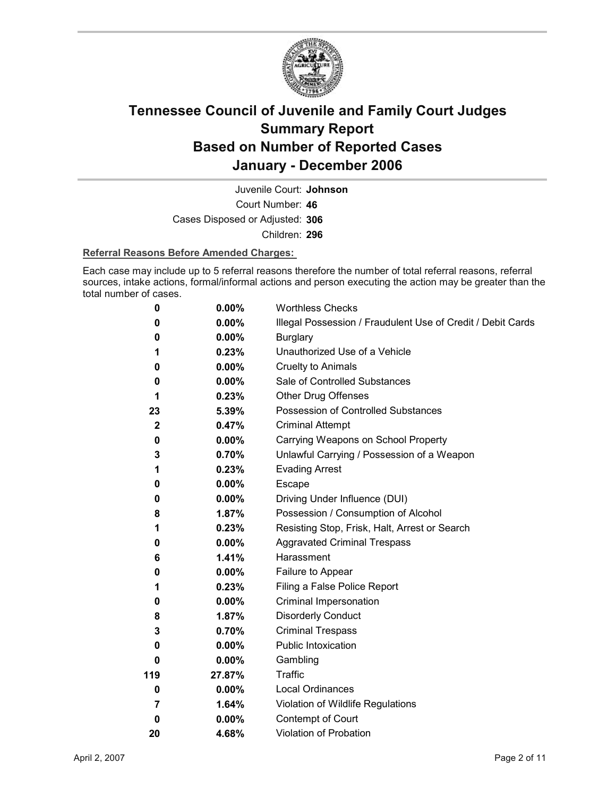

Court Number: **46** Juvenile Court: **Johnson** Cases Disposed or Adjusted: **306** Children: **296**

### **Referral Reasons Before Amended Charges:**

Each case may include up to 5 referral reasons therefore the number of total referral reasons, referral sources, intake actions, formal/informal actions and person executing the action may be greater than the total number of cases.

| 0            | 0.00%    | <b>Worthless Checks</b>                                     |
|--------------|----------|-------------------------------------------------------------|
| 0            | $0.00\%$ | Illegal Possession / Fraudulent Use of Credit / Debit Cards |
| 0            | $0.00\%$ | <b>Burglary</b>                                             |
| 1            | 0.23%    | Unauthorized Use of a Vehicle                               |
| 0            | $0.00\%$ | <b>Cruelty to Animals</b>                                   |
| 0            | $0.00\%$ | Sale of Controlled Substances                               |
| 1            | 0.23%    | <b>Other Drug Offenses</b>                                  |
| 23           | 5.39%    | Possession of Controlled Substances                         |
| $\mathbf{2}$ | 0.47%    | <b>Criminal Attempt</b>                                     |
| 0            | $0.00\%$ | Carrying Weapons on School Property                         |
| 3            | 0.70%    | Unlawful Carrying / Possession of a Weapon                  |
| 1            | 0.23%    | <b>Evading Arrest</b>                                       |
| 0            | $0.00\%$ | Escape                                                      |
| 0            | $0.00\%$ | Driving Under Influence (DUI)                               |
| 8            | 1.87%    | Possession / Consumption of Alcohol                         |
| 1            | 0.23%    | Resisting Stop, Frisk, Halt, Arrest or Search               |
| 0            | $0.00\%$ | <b>Aggravated Criminal Trespass</b>                         |
| 6            | 1.41%    | Harassment                                                  |
| 0            | $0.00\%$ | Failure to Appear                                           |
| 1            | 0.23%    | Filing a False Police Report                                |
| 0            | $0.00\%$ | Criminal Impersonation                                      |
| 8            | 1.87%    | <b>Disorderly Conduct</b>                                   |
| 3            | 0.70%    | <b>Criminal Trespass</b>                                    |
| 0            | $0.00\%$ | Public Intoxication                                         |
| 0            | $0.00\%$ | Gambling                                                    |
| 119          | 27.87%   | <b>Traffic</b>                                              |
| 0            | $0.00\%$ | <b>Local Ordinances</b>                                     |
| 7            | 1.64%    | Violation of Wildlife Regulations                           |
| $\bf{0}$     | $0.00\%$ | Contempt of Court                                           |
| 20           | 4.68%    | Violation of Probation                                      |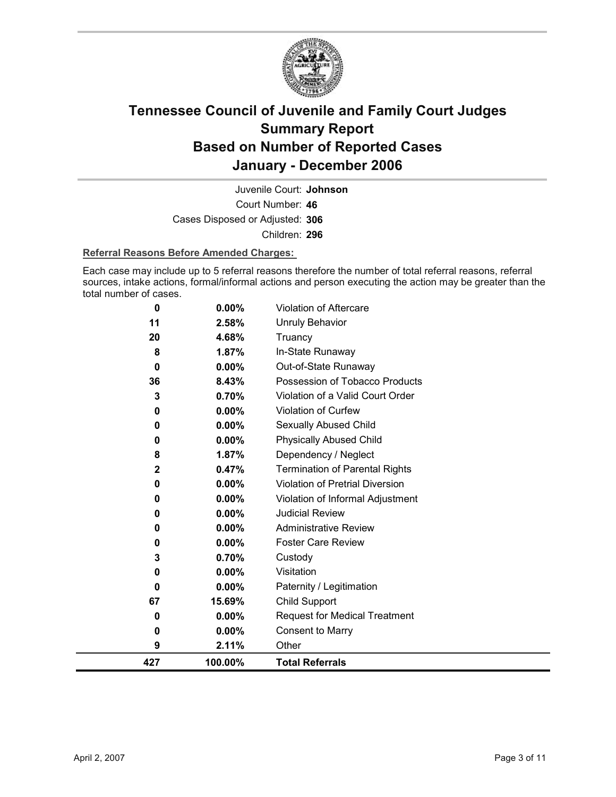

Court Number: **46** Juvenile Court: **Johnson** Cases Disposed or Adjusted: **306** Children: **296**

### **Referral Reasons Before Amended Charges:**

Each case may include up to 5 referral reasons therefore the number of total referral reasons, referral sources, intake actions, formal/informal actions and person executing the action may be greater than the total number of cases.

| 9           | 2.11%             | Other                                                          |
|-------------|-------------------|----------------------------------------------------------------|
| 0           | 0.00%             | <b>Consent to Marry</b>                                        |
| 0           | $0.00\%$          | <b>Request for Medical Treatment</b>                           |
| 67          | 15.69%            | <b>Child Support</b>                                           |
| 0           | $0.00\%$          | Paternity / Legitimation                                       |
| 0           | 0.00%             | Visitation                                                     |
| 3           | 0.70%             | Custody                                                        |
| 0           | 0.00%             | <b>Foster Care Review</b>                                      |
| 0           | 0.00%             | <b>Administrative Review</b>                                   |
| 0           | $0.00\%$          | <b>Judicial Review</b>                                         |
| 0           | 0.00%             | Violation of Informal Adjustment                               |
| 0           | 0.00%             | <b>Violation of Pretrial Diversion</b>                         |
| $\mathbf 2$ | 0.47%             | <b>Termination of Parental Rights</b>                          |
| 8           | 1.87%             | Dependency / Neglect                                           |
| 0           | 0.00%             | <b>Physically Abused Child</b>                                 |
| 0           | 0.00%             | <b>Sexually Abused Child</b>                                   |
| 3<br>0      | 0.70%<br>$0.00\%$ | Violation of a Valid Court Order<br><b>Violation of Curfew</b> |
| 36          | 8.43%             | Possession of Tobacco Products                                 |
| $\mathbf 0$ | $0.00\%$          | Out-of-State Runaway                                           |
| 8           | 1.87%             | In-State Runaway                                               |
| 20          | 4.68%             | Truancy                                                        |
| 11          | 2.58%             | Unruly Behavior                                                |
| 0           | 0.00%             | <b>Violation of Aftercare</b>                                  |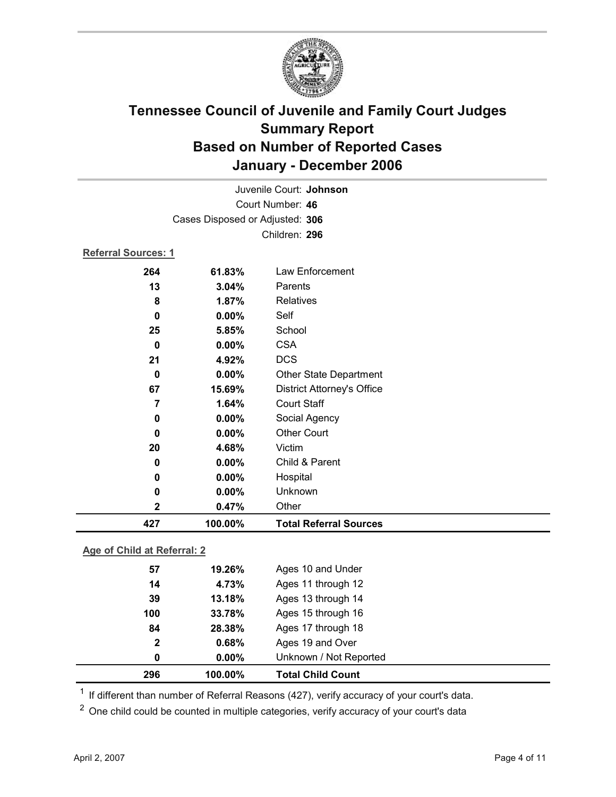

| Juvenile Court: Johnson         |         |                                   |  |  |
|---------------------------------|---------|-----------------------------------|--|--|
| Court Number: 46                |         |                                   |  |  |
| Cases Disposed or Adjusted: 306 |         |                                   |  |  |
|                                 |         | Children: 296                     |  |  |
| <b>Referral Sources: 1</b>      |         |                                   |  |  |
| 264                             | 61.83%  | Law Enforcement                   |  |  |
| 13                              | 3.04%   | Parents                           |  |  |
| 8                               | 1.87%   | Relatives                         |  |  |
| 0                               | 0.00%   | Self                              |  |  |
| 25                              | 5.85%   | School                            |  |  |
| 0                               | 0.00%   | <b>CSA</b>                        |  |  |
| 21                              | 4.92%   | <b>DCS</b>                        |  |  |
| 0                               | 0.00%   | Other State Department            |  |  |
| 67                              | 15.69%  | <b>District Attorney's Office</b> |  |  |
| 7                               | 1.64%   | <b>Court Staff</b>                |  |  |
| 0                               | 0.00%   | Social Agency                     |  |  |
| 0                               | 0.00%   | <b>Other Court</b>                |  |  |
| 20                              | 4.68%   | Victim                            |  |  |
| 0                               | 0.00%   | Child & Parent                    |  |  |
| 0                               | 0.00%   | Hospital                          |  |  |
| 0                               | 0.00%   | Unknown                           |  |  |
| 2                               | 0.47%   | Other                             |  |  |
| 427                             | 100.00% | <b>Total Referral Sources</b>     |  |  |

### **Age of Child at Referral: 2**

| 296          | 100.00%  | <b>Total Child Count</b> |
|--------------|----------|--------------------------|
| 0            | $0.00\%$ | Unknown / Not Reported   |
| $\mathbf{2}$ | 0.68%    | Ages 19 and Over         |
| 84           | 28.38%   | Ages 17 through 18       |
| 100          | 33.78%   | Ages 15 through 16       |
| 39           | 13.18%   | Ages 13 through 14       |
| 14           | 4.73%    | Ages 11 through 12       |
| 57           | 19.26%   | Ages 10 and Under        |
|              |          |                          |

 $1$  If different than number of Referral Reasons (427), verify accuracy of your court's data.

<sup>2</sup> One child could be counted in multiple categories, verify accuracy of your court's data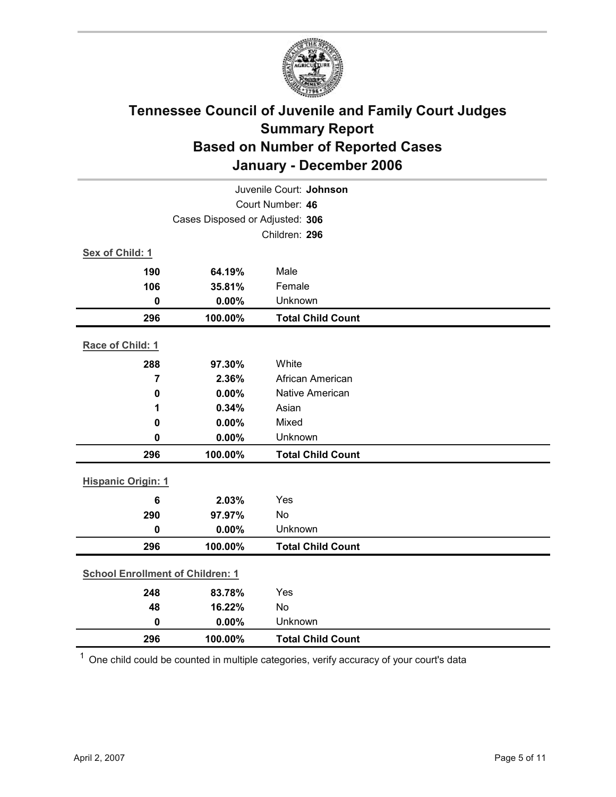

| Juvenile Court: Johnson                 |                                 |                          |  |  |  |
|-----------------------------------------|---------------------------------|--------------------------|--|--|--|
| Court Number: 46                        |                                 |                          |  |  |  |
|                                         | Cases Disposed or Adjusted: 306 |                          |  |  |  |
|                                         |                                 | Children: 296            |  |  |  |
| Sex of Child: 1                         |                                 |                          |  |  |  |
| 190                                     | 64.19%                          | Male                     |  |  |  |
| 106                                     | 35.81%                          | Female                   |  |  |  |
| $\bf{0}$                                | 0.00%                           | Unknown                  |  |  |  |
| 296                                     | 100.00%                         | <b>Total Child Count</b> |  |  |  |
| Race of Child: 1                        |                                 |                          |  |  |  |
| 288                                     | 97.30%                          | White                    |  |  |  |
| $\overline{7}$                          | 2.36%                           | African American         |  |  |  |
| 0                                       | 0.00%                           | Native American          |  |  |  |
| 1                                       | 0.34%                           | Asian                    |  |  |  |
| 0                                       | 0.00%                           | Mixed                    |  |  |  |
| 0                                       | 0.00%                           | Unknown                  |  |  |  |
| 296                                     | 100.00%                         | <b>Total Child Count</b> |  |  |  |
| <b>Hispanic Origin: 1</b>               |                                 |                          |  |  |  |
| $6\phantom{1}$                          | 2.03%                           | Yes                      |  |  |  |
| 290                                     | 97.97%                          | No                       |  |  |  |
| $\bf{0}$                                | 0.00%                           | Unknown                  |  |  |  |
| 296                                     | 100.00%                         | <b>Total Child Count</b> |  |  |  |
| <b>School Enrollment of Children: 1</b> |                                 |                          |  |  |  |
| 248                                     | 83.78%                          | Yes                      |  |  |  |
| 48                                      | 16.22%                          | No                       |  |  |  |
| $\mathbf 0$                             | 0.00%                           | Unknown                  |  |  |  |
| 296                                     | 100.00%                         | <b>Total Child Count</b> |  |  |  |

 $1$  One child could be counted in multiple categories, verify accuracy of your court's data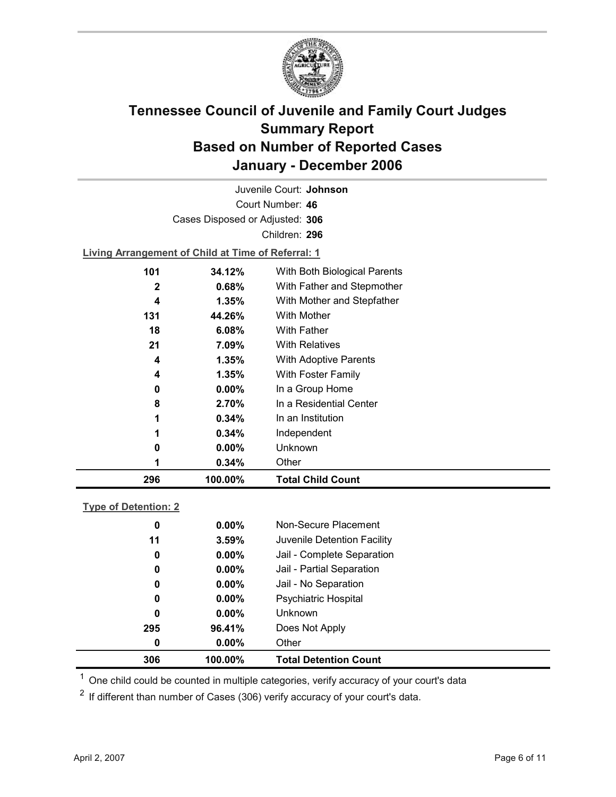

Court Number: **46** Juvenile Court: **Johnson** Cases Disposed or Adjusted: **306** Children: **296**

**Living Arrangement of Child at Time of Referral: 1**

| 296 | 100.00%  | <b>Total Child Count</b>     |  |
|-----|----------|------------------------------|--|
|     | 0.34%    | Other                        |  |
| 0   | $0.00\%$ | Unknown                      |  |
| 1   | $0.34\%$ | Independent                  |  |
| 1   | 0.34%    | In an Institution            |  |
| 8   | 2.70%    | In a Residential Center      |  |
| 0   | $0.00\%$ | In a Group Home              |  |
| 4   | 1.35%    | With Foster Family           |  |
| 4   | 1.35%    | <b>With Adoptive Parents</b> |  |
| 21  | 7.09%    | <b>With Relatives</b>        |  |
| 18  | 6.08%    | <b>With Father</b>           |  |
| 131 | 44.26%   | With Mother                  |  |
| 4   | $1.35\%$ | With Mother and Stepfather   |  |
| 2   | 0.68%    | With Father and Stepmother   |  |
| 101 | 34.12%   | With Both Biological Parents |  |
|     |          |                              |  |

### **Type of Detention: 2**

| 306 | 100.00%  | <b>Total Detention Count</b> |  |
|-----|----------|------------------------------|--|
| 0   | $0.00\%$ | Other                        |  |
| 295 | 96.41%   | Does Not Apply               |  |
| 0   | $0.00\%$ | <b>Unknown</b>               |  |
| 0   | $0.00\%$ | <b>Psychiatric Hospital</b>  |  |
| 0   | $0.00\%$ | Jail - No Separation         |  |
| 0   | $0.00\%$ | Jail - Partial Separation    |  |
| 0   | $0.00\%$ | Jail - Complete Separation   |  |
| 11  | 3.59%    | Juvenile Detention Facility  |  |
| 0   | $0.00\%$ | Non-Secure Placement         |  |
|     |          |                              |  |

 $<sup>1</sup>$  One child could be counted in multiple categories, verify accuracy of your court's data</sup>

 $2$  If different than number of Cases (306) verify accuracy of your court's data.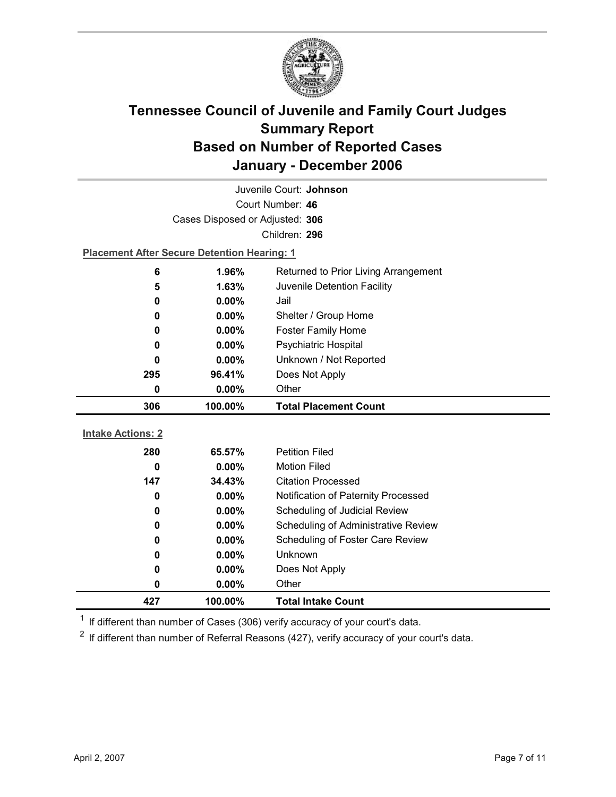

| Juvenile Court: Johnson              |                                                    |                                                                         |  |  |  |
|--------------------------------------|----------------------------------------------------|-------------------------------------------------------------------------|--|--|--|
| Court Number: 46                     |                                                    |                                                                         |  |  |  |
|                                      | Cases Disposed or Adjusted: 306                    |                                                                         |  |  |  |
|                                      |                                                    | Children: 296                                                           |  |  |  |
|                                      | <b>Placement After Secure Detention Hearing: 1</b> |                                                                         |  |  |  |
| 6                                    | 1.96%<br>Returned to Prior Living Arrangement      |                                                                         |  |  |  |
| 5                                    | 1.63%                                              | Juvenile Detention Facility                                             |  |  |  |
| 0                                    | 0.00%                                              | Jail                                                                    |  |  |  |
| 0                                    | $0.00\%$                                           | Shelter / Group Home                                                    |  |  |  |
| 0                                    | $0.00\%$                                           | <b>Foster Family Home</b>                                               |  |  |  |
| 0                                    | 0.00%                                              | Psychiatric Hospital                                                    |  |  |  |
| Unknown / Not Reported<br>0.00%<br>0 |                                                    |                                                                         |  |  |  |
| Does Not Apply<br>295<br>96.41%      |                                                    |                                                                         |  |  |  |
| Other<br>0<br>$0.00\%$               |                                                    |                                                                         |  |  |  |
|                                      |                                                    |                                                                         |  |  |  |
| 306                                  | 100.00%                                            | <b>Total Placement Count</b>                                            |  |  |  |
|                                      |                                                    |                                                                         |  |  |  |
| <b>Intake Actions: 2</b>             |                                                    |                                                                         |  |  |  |
| 280                                  | 65.57%                                             | <b>Petition Filed</b>                                                   |  |  |  |
| 0<br>147                             | 0.00%<br>34.43%                                    | <b>Motion Filed</b><br><b>Citation Processed</b>                        |  |  |  |
| 0                                    | $0.00\%$                                           | Notification of Paternity Processed                                     |  |  |  |
| 0                                    | 0.00%                                              |                                                                         |  |  |  |
| 0                                    | 0.00%                                              | Scheduling of Judicial Review                                           |  |  |  |
| 0                                    | $0.00\%$                                           | Scheduling of Administrative Review<br>Scheduling of Foster Care Review |  |  |  |
| 0                                    | 0.00%                                              | Unknown                                                                 |  |  |  |
| 0                                    | $0.00\%$                                           | Does Not Apply                                                          |  |  |  |
| 0                                    | $0.00\%$                                           | Other                                                                   |  |  |  |

 $1$  If different than number of Cases (306) verify accuracy of your court's data.

 $2$  If different than number of Referral Reasons (427), verify accuracy of your court's data.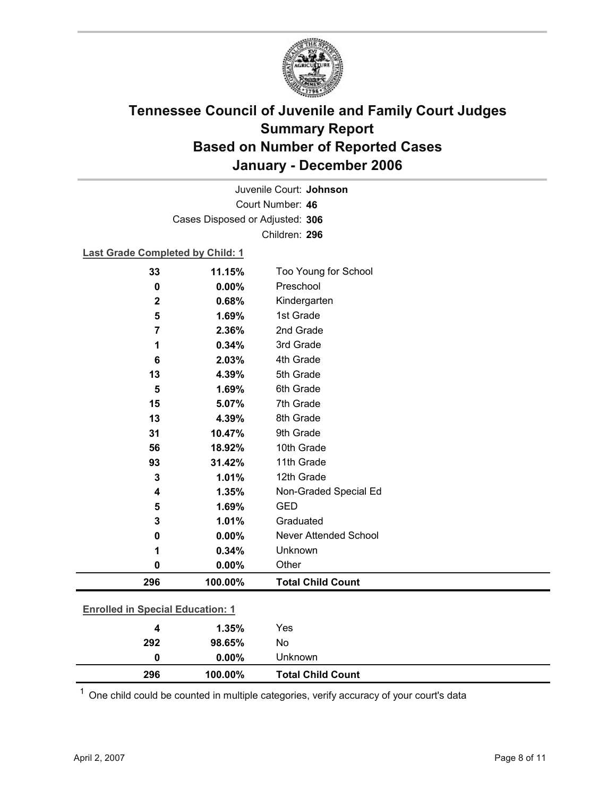

Court Number: **46** Juvenile Court: **Johnson** Cases Disposed or Adjusted: **306** Children: **296**

### **Last Grade Completed by Child: 1**

| 33                                      | 11.15%  | Too Young for School         |
|-----------------------------------------|---------|------------------------------|
| 0                                       | 0.00%   | Preschool                    |
| $\mathbf 2$                             | 0.68%   | Kindergarten                 |
| 5                                       | 1.69%   | 1st Grade                    |
| 7                                       | 2.36%   | 2nd Grade                    |
| 1                                       | 0.34%   | 3rd Grade                    |
| 6                                       | 2.03%   | 4th Grade                    |
| 13                                      | 4.39%   | 5th Grade                    |
| 5                                       | 1.69%   | 6th Grade                    |
| 15                                      | 5.07%   | 7th Grade                    |
| 13                                      | 4.39%   | 8th Grade                    |
| 31                                      | 10.47%  | 9th Grade                    |
| 56                                      | 18.92%  | 10th Grade                   |
| 93                                      | 31.42%  | 11th Grade                   |
| 3                                       | 1.01%   | 12th Grade                   |
| 4                                       | 1.35%   | Non-Graded Special Ed        |
| 5                                       | 1.69%   | <b>GED</b>                   |
| 3                                       | 1.01%   | Graduated                    |
| 0                                       | 0.00%   | <b>Never Attended School</b> |
| 1                                       | 0.34%   | Unknown                      |
| 0                                       | 0.00%   | Other                        |
| 296                                     | 100.00% | <b>Total Child Count</b>     |
| <b>Enrolled in Special Education: 1</b> |         |                              |
|                                         |         |                              |
| 4                                       | 1 35%   | Yes                          |

| 296 | 100.00%  | <b>Total Child Count</b> |  |
|-----|----------|--------------------------|--|
| 0   | $0.00\%$ | Unknown                  |  |
| 292 | 98.65%   | No                       |  |
| 4   | 1.35%    | Yes                      |  |
|     |          |                          |  |

 $1$  One child could be counted in multiple categories, verify accuracy of your court's data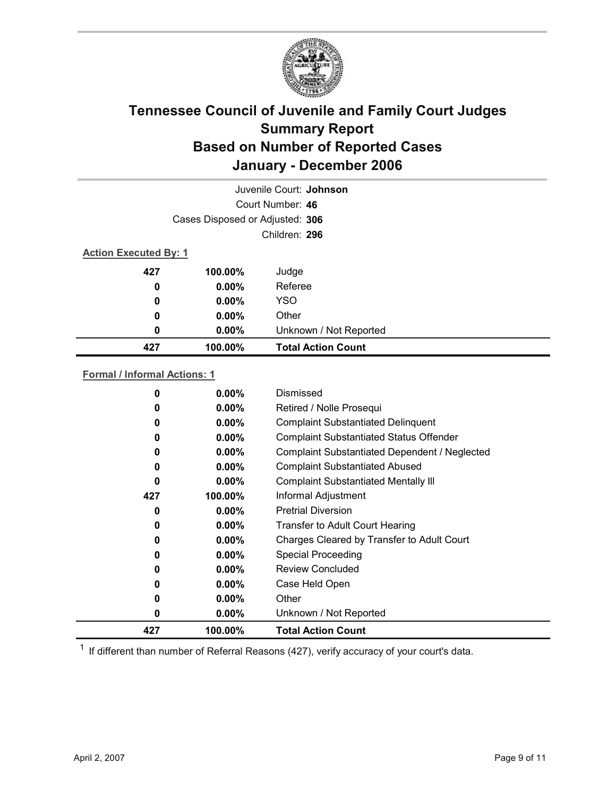

| Juvenile Court: Johnson      |                                 |                           |  |
|------------------------------|---------------------------------|---------------------------|--|
|                              |                                 | Court Number: 46          |  |
|                              | Cases Disposed or Adjusted: 306 |                           |  |
|                              |                                 | Children: 296             |  |
| <b>Action Executed By: 1</b> |                                 |                           |  |
| 427                          | 100.00%                         | Judge                     |  |
| 0                            | $0.00\%$                        | Referee                   |  |
| 0                            | $0.00\%$                        | <b>YSO</b>                |  |
| 0                            | $0.00\%$                        | Other                     |  |
| 0                            | $0.00\%$                        | Unknown / Not Reported    |  |
| 427                          | 100.00%                         | <b>Total Action Count</b> |  |

### **Formal / Informal Actions: 1**

| 427 | 100.00%  | <b>Total Action Count</b>                      |
|-----|----------|------------------------------------------------|
| 0   | $0.00\%$ | Unknown / Not Reported                         |
| 0   | $0.00\%$ | Other                                          |
| 0   | $0.00\%$ | Case Held Open                                 |
| 0   | $0.00\%$ | Review Concluded                               |
| 0   | $0.00\%$ | <b>Special Proceeding</b>                      |
| 0   | $0.00\%$ | Charges Cleared by Transfer to Adult Court     |
| 0   | $0.00\%$ | <b>Transfer to Adult Court Hearing</b>         |
| 0   | $0.00\%$ | <b>Pretrial Diversion</b>                      |
| 427 | 100.00%  | Informal Adjustment                            |
| 0   | $0.00\%$ | <b>Complaint Substantiated Mentally III</b>    |
| 0   | $0.00\%$ | <b>Complaint Substantiated Abused</b>          |
| 0   | $0.00\%$ | Complaint Substantiated Dependent / Neglected  |
| 0   | $0.00\%$ | <b>Complaint Substantiated Status Offender</b> |
| 0   | $0.00\%$ | <b>Complaint Substantiated Delinquent</b>      |
| 0   | $0.00\%$ | Retired / Nolle Prosequi                       |
| 0   | $0.00\%$ | Dismissed                                      |
|     |          |                                                |

 $1$  If different than number of Referral Reasons (427), verify accuracy of your court's data.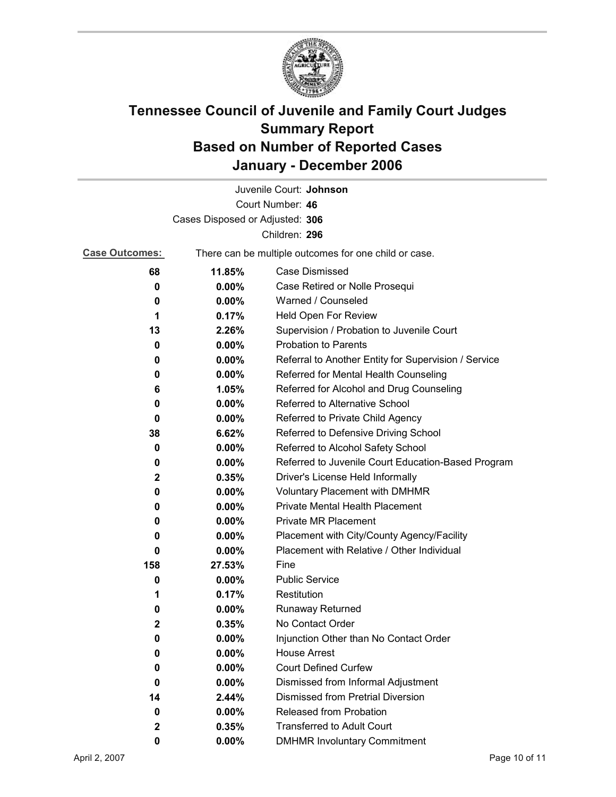

|                                 |                                                       | Juvenile Court: Johnson                              |  |  |
|---------------------------------|-------------------------------------------------------|------------------------------------------------------|--|--|
|                                 |                                                       | Court Number: 46                                     |  |  |
| Cases Disposed or Adjusted: 306 |                                                       |                                                      |  |  |
|                                 |                                                       | Children: 296                                        |  |  |
| <b>Case Outcomes:</b>           | There can be multiple outcomes for one child or case. |                                                      |  |  |
| 68                              | 11.85%                                                | Case Dismissed                                       |  |  |
| 0                               | $0.00\%$                                              | Case Retired or Nolle Prosequi                       |  |  |
| 0                               | 0.00%                                                 | Warned / Counseled                                   |  |  |
| 1                               | 0.17%                                                 | Held Open For Review                                 |  |  |
| 13                              | 2.26%                                                 | Supervision / Probation to Juvenile Court            |  |  |
| 0                               | 0.00%                                                 | <b>Probation to Parents</b>                          |  |  |
| 0                               | $0.00\%$                                              | Referral to Another Entity for Supervision / Service |  |  |
| 0                               | $0.00\%$                                              | Referred for Mental Health Counseling                |  |  |
| 6                               | 1.05%                                                 | Referred for Alcohol and Drug Counseling             |  |  |
| 0                               | $0.00\%$                                              | <b>Referred to Alternative School</b>                |  |  |
| 0                               | $0.00\%$                                              | Referred to Private Child Agency                     |  |  |
| 38                              | 6.62%                                                 | Referred to Defensive Driving School                 |  |  |
| 0                               | 0.00%                                                 | Referred to Alcohol Safety School                    |  |  |
| 0                               | $0.00\%$                                              | Referred to Juvenile Court Education-Based Program   |  |  |
| $\mathbf{2}$                    | 0.35%                                                 | Driver's License Held Informally                     |  |  |
| 0                               | $0.00\%$                                              | <b>Voluntary Placement with DMHMR</b>                |  |  |
| 0                               | $0.00\%$                                              | <b>Private Mental Health Placement</b>               |  |  |
| 0                               | $0.00\%$                                              | <b>Private MR Placement</b>                          |  |  |
| 0                               | $0.00\%$                                              | Placement with City/County Agency/Facility           |  |  |
| 0                               | 0.00%                                                 | Placement with Relative / Other Individual           |  |  |
| 158                             | 27.53%                                                | Fine                                                 |  |  |
| 0                               | $0.00\%$                                              | <b>Public Service</b>                                |  |  |
| 1                               | 0.17%                                                 | Restitution                                          |  |  |
| 0                               | $0.00\%$                                              | <b>Runaway Returned</b>                              |  |  |
| $\mathbf{2}$                    | 0.35%                                                 | No Contact Order                                     |  |  |
| 0                               | $0.00\%$                                              | Injunction Other than No Contact Order               |  |  |
| 0                               | 0.00%                                                 | <b>House Arrest</b>                                  |  |  |
| 0                               | $0.00\%$                                              | <b>Court Defined Curfew</b>                          |  |  |
| 0                               | 0.00%                                                 | Dismissed from Informal Adjustment                   |  |  |
| 14                              | 2.44%                                                 | Dismissed from Pretrial Diversion                    |  |  |
| 0                               | $0.00\%$                                              | Released from Probation                              |  |  |
| $\mathbf{2}$                    | 0.35%                                                 | <b>Transferred to Adult Court</b>                    |  |  |
| 0                               | $0.00\%$                                              | <b>DMHMR Involuntary Commitment</b>                  |  |  |